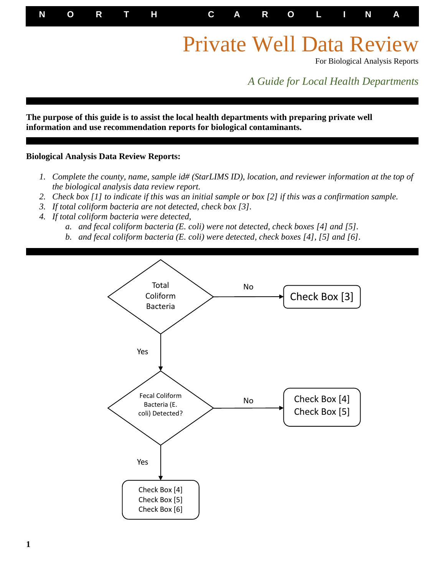**N O R T H C A R O L I N A**

# Private Well Data Review

For Biological Analysis Reports

*A Guide for Local Health Departments*

**The purpose of this guide is to assist the local health departments with preparing private well information and use recommendation reports for biological contaminants.**

#### **Biological Analysis Data Review Reports:**

I

- *1. Complete the county, name, sample id# (StarLIMS ID), location, and reviewer information at the top of the biological analysis data review report.*
- *2. Check box [1] to indicate if this was an initial sample or box [2] if this was a confirmation sample.*
- *3. If total coliform bacteria are not detected, check box [3].*
- *4. If total coliform bacteria were detected,*
	- *a. and fecal coliform bacteria (E. coli) were not detected, check boxes [4] and [5].*
	- *b. and fecal coliform bacteria (E. coli) were detected, check boxes [4], [5] and [6].*